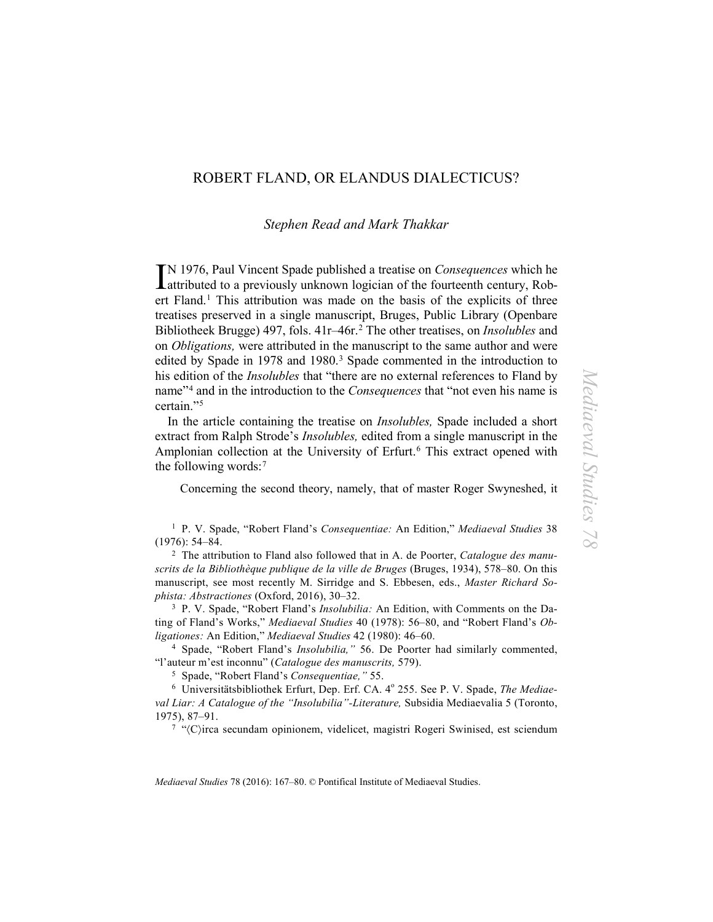# ROBERT FLAND, OR ELANDUS DIALECTICUS?

*Stephen Read and Mark Thakkar* 

N 1976, Paul Vincent Spade published a treatise on *Consequences* which he IN 1976, Paul Vincent Spade published a treatise on *Consequences* which he attributed to a previously unknown logician of the fourteenth century, Rob-ert Fland.<sup>[1](#page-0-0)</sup> This attribution was made on the basis of the explicits of three treatises preserved in a single manuscript, Bruges, Public Library (Openbare Bibliotheek Brugge) 497, fols. 41r–46r.[2](#page-0-1) The other treatises, on *Insolubles* and on *Obligations,* were attributed in the manuscript to the same author and were edited by Spade in 1978 and 1980.<sup>[3](#page-0-2)</sup> Spade commented in the introduction to his edition of the *Insolubles* that "there are no external references to Fland by name<sup>3[4](#page-0-3)</sup> and in the introduction to the *Consequences* that "not even his name is certain<sup>"[5](#page-0-4)</sup>

In the article containing the treatise on *Insolubles,* Spade included a short extract from Ralph Strode's *Insolubles,* edited from a single manuscript in the Amplonian collection at the University of Erfurt.<sup>[6](#page-0-5)</sup> This extract opened with the following words:[7](#page-0-6) 

Concerning the second theory, namely, that of master Roger Swyneshed, it

<span id="page-0-0"></span>1 P. V. Spade, "Robert Fland's *Consequentiae:* An Edition," *Mediaeval Studies* 38 (1976): 54–84.

<span id="page-0-1"></span>2 The attribution to Fland also followed that in A. de Poorter, *Catalogue des manuscrits de la Bibliothèque publique de la ville de Bruges* (Bruges, 1934), 578–80. On this manuscript, see most recently M. Sirridge and S. Ebbesen, eds., *Master Richard Sophista: Abstractiones* (Oxford, 2016), 30–32.

<span id="page-0-2"></span>3 P. V. Spade, "Robert Fland's *Insolubilia:* An Edition, with Comments on the Dating of Fland's Works," *Mediaeval Studies* 40 (1978): 56–80, and "Robert Fland's *Obligationes:* An Edition," *Mediaeval Studies* 42 (1980): 46–60.

<span id="page-0-3"></span>4 Spade, "Robert Fland's *Insolubilia,"* 56. De Poorter had similarly commented, "l'auteur m'est inconnu" (*Catalogue des manuscrits,* 579).

<sup>5</sup> Spade, "Robert Fland's *Consequentiae*," 55.<br><sup>6</sup> Universitätsbibliothek Erfurt, Den, Erf. CA.

<span id="page-0-6"></span><span id="page-0-5"></span><span id="page-0-4"></span><sup>6</sup> Universitätsbibliothek Erfurt, Dep. Erf. CA. 4<sup>°</sup> 255. See P. V. Spade, *The Mediaeval Liar: A Catalogue of the "Insolubilia"-Literature,* Subsidia Mediaevalia 5 (Toronto, 1975), 87–91. 7

<sup>7</sup> "(C)irca secundam opinionem, videlicet, magistri Rogeri Swinised, est sciendum

*Mediaeval Studies* 78 (2016): 167–80. © Pontifical Institute of Mediaeval Studies.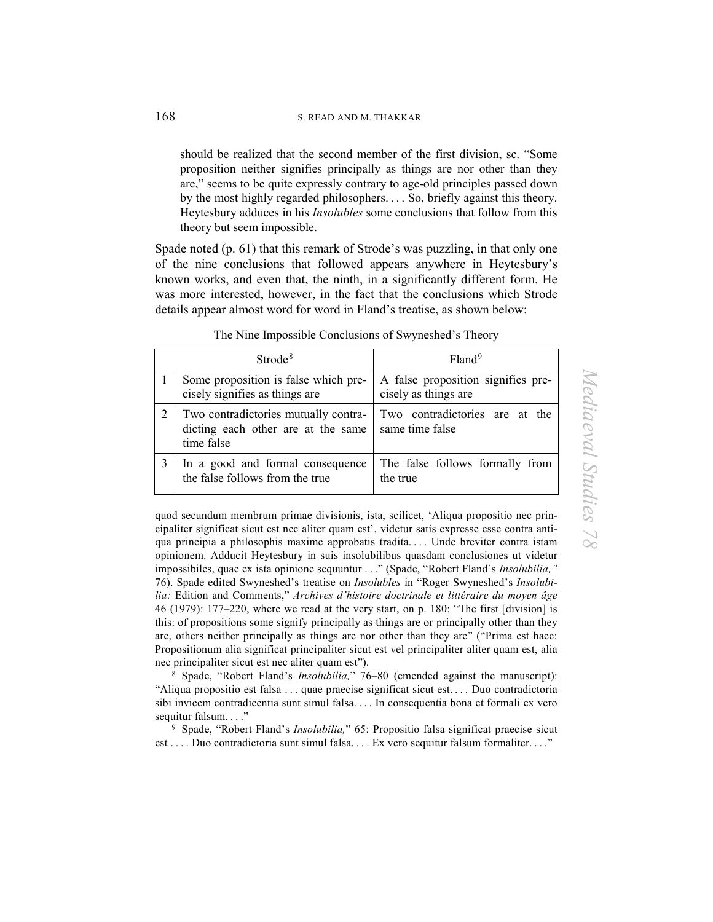should be realized that the second member of the first division, sc. "Some proposition neither signifies principally as things are nor other than they are," seems to be quite expressly contrary to age-old principles passed down by the most highly regarded philosophers. . . . So, briefly against this theory. Heytesbury adduces in his *Insolubles* some conclusions that follow from this theory but seem impossible.

Spade noted (p. 61) that this remark of Strode's was puzzling, in that only one of the nine conclusions that followed appears anywhere in Heytesbury's known works, and even that, the ninth, in a significantly different form. He was more interested, however, in the fact that the conclusions which Strode details appear almost word for word in Fland's treatise, as shown below:

| Strode <sup>8</sup>                                                                      | Fland <sup>9</sup>                                         |
|------------------------------------------------------------------------------------------|------------------------------------------------------------|
| Some proposition is false which pre-<br>cisely signifies as things are                   | A false proposition signifies pre-<br>cisely as things are |
| Two contradictories mutually contra-<br>dicting each other are at the same<br>time false | Two contradictories are at the<br>same time false          |
| In a good and formal consequence<br>the false follows from the true                      | The false follows formally from<br>the true                |

The Nine Impossible Conclusions of Swyneshed's Theory

<span id="page-1-0"></span>quod secundum membrum primae divisionis, ista, scilicet, 'Aliqua propositio nec principaliter significat sicut est nec aliter quam est', videtur satis expresse esse contra antiqua principia a philosophis maxime approbatis tradita... . Unde breviter contra istam opinionem. Adducit Heytesbury in suis insolubilibus quasdam conclusiones ut videtur impossibiles, quae ex ista opinione sequuntur . . ." (Spade, "Robert Fland's *Insolubilia,"* 76). Spade edited Swyneshed's treatise on *Insolubles* in "Roger Swyneshed's *Insolubilia:* Edition and Comments," *Archives d'histoire doctrinale et littéraire du moyen âge* 46 (1979): 177–220, where we read at the very start, on p. 180: "The first [division] is this: of propositions some signify principally as things are or principally other than they are, others neither principally as things are nor other than they are" ("Prima est haec: Propositionum alia significat principaliter sicut est vel principaliter aliter quam est, alia nec principaliter sicut est nec aliter quam est").

8 Spade, "Robert Fland's *Insolubilia,*" 76–80 (emended against the manuscript): "Aliqua propositio est falsa . . . quae praecise significat sicut est... . Duo contradictoria sibi invicem contradicentia sunt simul falsa... . In consequentia bona et formali ex vero sequitur falsum. . . ."

<span id="page-1-1"></span>9 Spade, "Robert Fland's *Insolubilia,*" 65: Propositio falsa significat praecise sicut est ... . Duo contradictoria sunt simul falsa... . Ex vero sequitur falsum formaliter... ."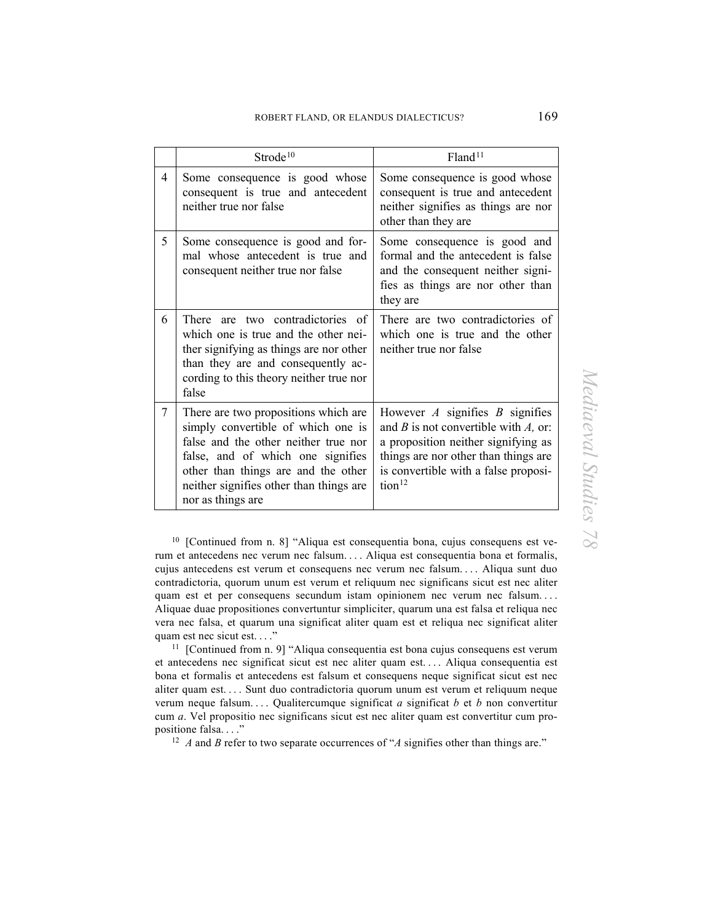|   | Strode <sup>10</sup>                                                                                                                                                                                                                                           | Fland <sup>11</sup>                                                                                                                                                                                                           |
|---|----------------------------------------------------------------------------------------------------------------------------------------------------------------------------------------------------------------------------------------------------------------|-------------------------------------------------------------------------------------------------------------------------------------------------------------------------------------------------------------------------------|
| 4 | Some consequence is good whose<br>consequent is true and antecedent<br>neither true nor false                                                                                                                                                                  | Some consequence is good whose<br>consequent is true and antecedent<br>neither signifies as things are nor<br>other than they are                                                                                             |
| 5 | Some consequence is good and for-<br>mal whose antecedent is true and<br>consequent neither true nor false                                                                                                                                                     | Some consequence is good and<br>formal and the antecedent is false<br>and the consequent neither signi-<br>fies as things are nor other than<br>they are                                                                      |
| 6 | There are two contradictories of<br>which one is true and the other nei-<br>ther signifying as things are nor other<br>than they are and consequently ac-<br>cording to this theory neither true nor<br>false                                                  | There are two contradictories of<br>which one is true and the other<br>neither true nor false                                                                                                                                 |
| 7 | There are two propositions which are<br>simply convertible of which one is<br>false and the other neither true nor<br>false, and of which one signifies<br>other than things are and the other<br>neither signifies other than things are<br>nor as things are | However $A$ signifies $B$ signifies<br>and $B$ is not convertible with $A$ , or:<br>a proposition neither signifying as<br>things are nor other than things are<br>is convertible with a false proposi-<br>tion <sup>12</sup> |

<span id="page-2-0"></span><sup>10</sup> [Continued from n. 8] "Aliqua est consequentia bona, cujus consequens est verum et antecedens nec verum nec falsum... . Aliqua est consequentia bona et formalis, cujus antecedens est verum et consequens nec verum nec falsum... . Aliqua sunt duo contradictoria, quorum unum est verum et reliquum nec significans sicut est nec aliter quam est et per consequens secundum istam opinionem nec verum nec falsum... . Aliquae duae propositiones convertuntur simpliciter, quarum una est falsa et reliqua nec vera nec falsa, et quarum una significat aliter quam est et reliqua nec significat aliter quam est nec sicut est... ."

<span id="page-2-1"></span><sup>11</sup> [Continued from n. 9] "Aliqua consequentia est bona cujus consequens est verum et antecedens nec significat sicut est nec aliter quam est... . Aliqua consequentia est bona et formalis et antecedens est falsum et consequens neque significat sicut est nec aliter quam est... . Sunt duo contradictoria quorum unum est verum et reliquum neque verum neque falsum... . Qualitercumque significat *a* significat *b* et *b* non convertitur cum *a*. Vel propositio nec significans sicut est nec aliter quam est convertitur cum propositione falsa...."

<span id="page-2-2"></span><sup>12</sup> *A* and *B* refer to two separate occurrences of "*A* signifies other than things are."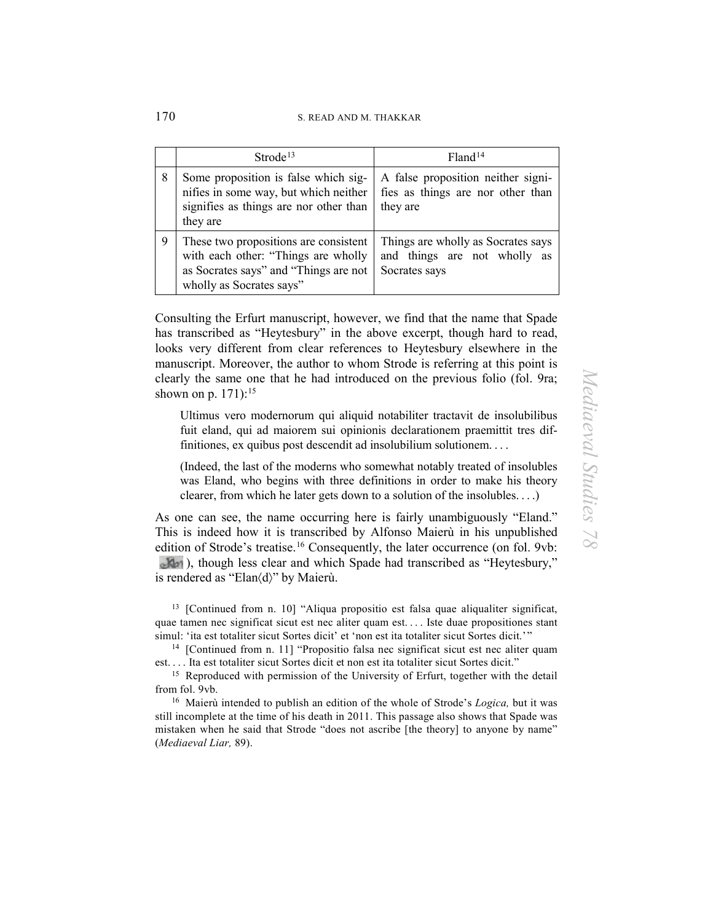#### 170 S. READ AND M. THAKKAR

|   | Strode <sup>13</sup>                                                                                                                              | Fland <sup>14</sup>                                                                 |
|---|---------------------------------------------------------------------------------------------------------------------------------------------------|-------------------------------------------------------------------------------------|
| 8 | Some proposition is false which sig-<br>nifies in some way, but which neither<br>signifies as things are nor other than<br>they are               | A false proposition neither signi-<br>fies as things are nor other than<br>they are |
| q | These two propositions are consistent<br>with each other: "Things are wholly<br>as Socrates says" and "Things are not<br>wholly as Socrates says" | Things are wholly as Socrates says<br>and things are not wholly as<br>Socrates says |

Consulting the Erfurt manuscript, however, we find that the name that Spade has transcribed as "Heytesbury" in the above excerpt, though hard to read, looks very different from clear references to Heytesbury elsewhere in the manuscript. Moreover, the author to whom Strode is referring at this point is clearly the same one that he had introduced on the previous folio (fol. 9ra; shown on p.  $171$ :<sup>[15](#page-3-2)</sup>

Ultimus vero modernorum qui aliquid notabiliter tractavit de insolubilibus fuit eland, qui ad maiorem sui opinionis declarationem praemittit tres diffinitiones, ex quibus post descendit ad insolubilium solutionem. . . .

(Indeed, the last of the moderns who somewhat notably treated of insolubles was Eland, who begins with three definitions in order to make his theory clearer, from which he later gets down to a solution of the insolubles. . . .)

As one can see, the name occurring here is fairly unambiguously "Eland." This is indeed how it is transcribed by Alfonso Maierù in his unpublished edition of Strode's treatise.<sup>[16](#page-3-3)</sup> Consequently, the later occurrence (on fol. 9vb: ), though less clear and which Spade had transcribed as "Heytesbury," is rendered as "Elan〈d〉" by Maierù.

<span id="page-3-0"></span>13 [Continued from n. 10] "Aliqua propositio est falsa quae aliqualiter significat, quae tamen nec significat sicut est nec aliter quam est... . Iste duae propositiones stant

<span id="page-3-1"></span>simul: 'ita est totaliter sicut Sortes dicit' et 'non est ita totaliter sicut Sortes dicit.'"<br><sup>14</sup> [Continued from n. 11] "Propositio falsa nec significat sicut est nec aliter quam<br>est.... Ita est totaliter sicut Sortes di

<span id="page-3-2"></span><sup>15</sup> Reproduced with permission of the University of Erfurt, together with the detail from fol.  $9vb$ .

<span id="page-3-3"></span><sup>16</sup> Maierù intended to publish an edition of the whole of Strode's *Logica*, but it was still incomplete at the time of his death in 2011. This passage also shows that Spade was mistaken when he said that Strode "does not ascribe [the theory] to anyone by name" (*Mediaeval Liar,* 89).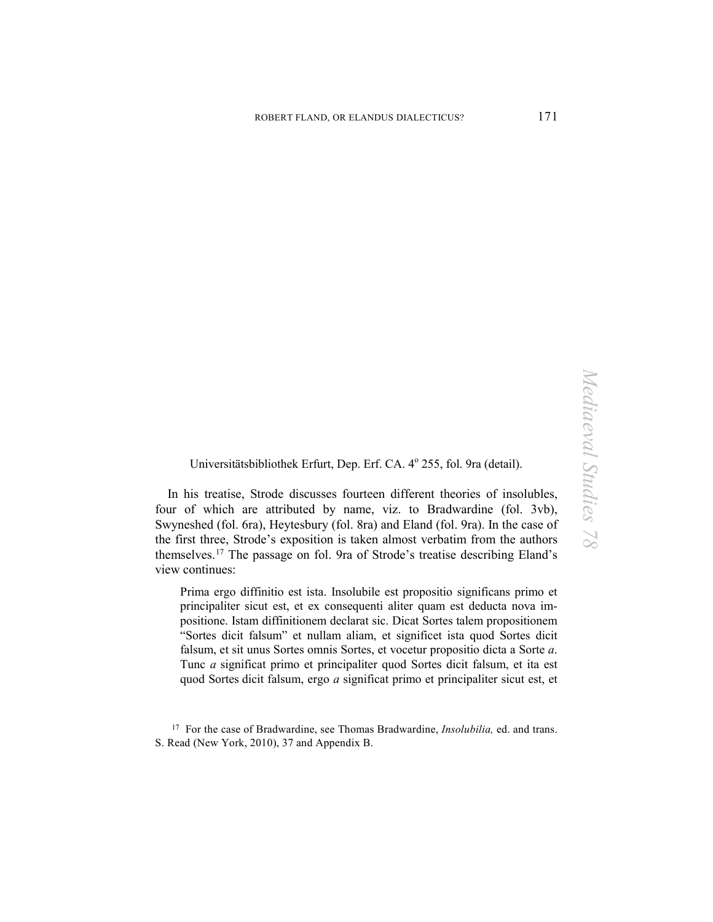Universitätsbibliothek Erfurt, Dep. Erf. CA. 4<sup>°</sup> 255, fol. 9ra (detail).

In his treatise, Strode discusses fourteen different theories of insolubles, four of which are attributed by name, viz. to Bradwardine (fol. 3vb), Swyneshed (fol. 6ra), Heytesbury (fol. 8ra) and Eland (fol. 9ra). In the case of the first three, Strode's exposition is taken almost verbatim from the authors themselves.[17](#page-4-0) The passage on fol. 9ra of Strode's treatise describing Eland's view continues:

Prima ergo diffinitio est ista. Insolubile est propositio significans primo et principaliter sicut est, et ex consequenti aliter quam est deducta nova impositione. Istam diffinitionem declarat sic. Dicat Sortes talem propositionem "Sortes dicit falsum" et nullam aliam, et significet ista quod Sortes dicit falsum, et sit unus Sortes omnis Sortes, et vocetur propositio dicta a Sorte *a*. Tunc *a* significat primo et principaliter quod Sortes dicit falsum, et ita est quod Sortes dicit falsum, ergo *a* significat primo et principaliter sicut est, et

<span id="page-4-0"></span><sup>17</sup> For the case of Bradwardine, see Thomas Bradwardine, *Insolubilia,* ed. and trans. S. Read (New York, 2010), 37 and Appendix B.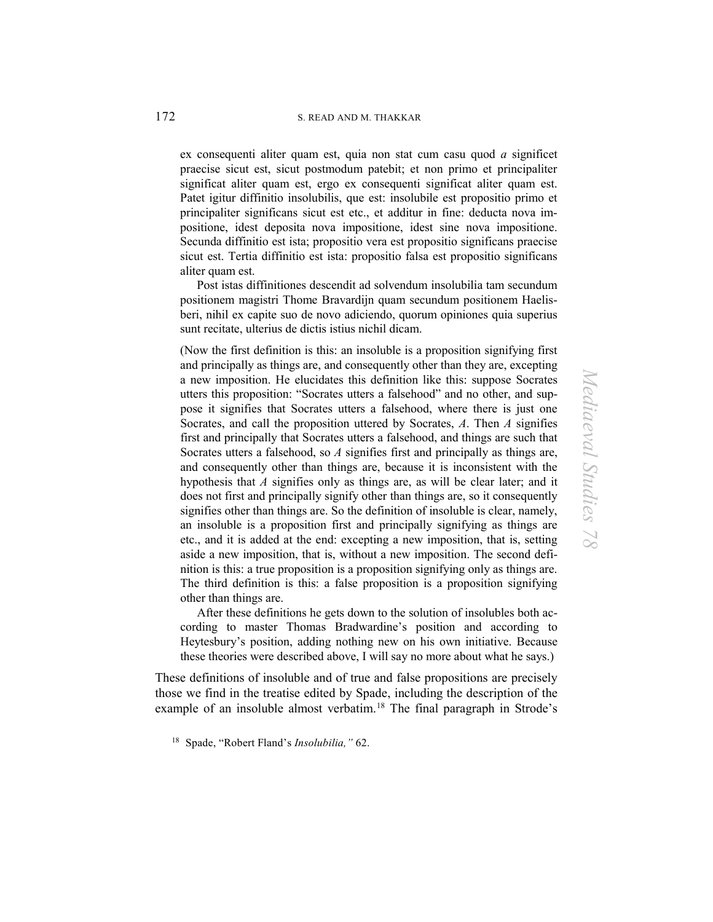ex consequenti aliter quam est, quia non stat cum casu quod *a* significet praecise sicut est, sicut postmodum patebit; et non primo et principaliter significat aliter quam est, ergo ex consequenti significat aliter quam est. Patet igitur diffinitio insolubilis, que est: insolubile est propositio primo et principaliter significans sicut est etc., et additur in fine: deducta nova impositione, idest deposita nova impositione, idest sine nova impositione. Secunda diffinitio est ista; propositio vera est propositio significans praecise sicut est. Tertia diffinitio est ista: propositio falsa est propositio significans aliter quam est.

Post istas diffinitiones descendit ad solvendum insolubilia tam secundum positionem magistri Thome Bravardijn quam secundum positionem Haelisberi, nihil ex capite suo de novo adiciendo, quorum opiniones quia superius sunt recitate, ulterius de dictis istius nichil dicam.

(Now the first definition is this: an insoluble is a proposition signifying first and principally as things are, and consequently other than they are, excepting a new imposition. He elucidates this definition like this: suppose Socrates utters this proposition: "Socrates utters a falsehood" and no other, and suppose it signifies that Socrates utters a falsehood, where there is just one Socrates, and call the proposition uttered by Socrates, *A*. Then *A* signifies first and principally that Socrates utters a falsehood, and things are such that Socrates utters a falsehood, so *A* signifies first and principally as things are, and consequently other than things are, because it is inconsistent with the hypothesis that *A* signifies only as things are, as will be clear later; and it does not first and principally signify other than things are, so it consequently signifies other than things are. So the definition of insoluble is clear, namely, an insoluble is a proposition first and principally signifying as things are etc., and it is added at the end: excepting a new imposition, that is, setting aside a new imposition, that is, without a new imposition. The second definition is this: a true proposition is a proposition signifying only as things are. The third definition is this: a false proposition is a proposition signifying other than things are.

After these definitions he gets down to the solution of insolubles both according to master Thomas Bradwardine's position and according to Heytesbury's position, adding nothing new on his own initiative. Because these theories were described above, I will say no more about what he says.)

<span id="page-5-0"></span>These definitions of insoluble and of true and false propositions are precisely those we find in the treatise edited by Spade, including the description of the example of an insoluble almost verbatim.<sup>[18](#page-5-0)</sup> The final paragraph in Strode's

18 Spade, "Robert Fland's *Insolubilia,"* 62.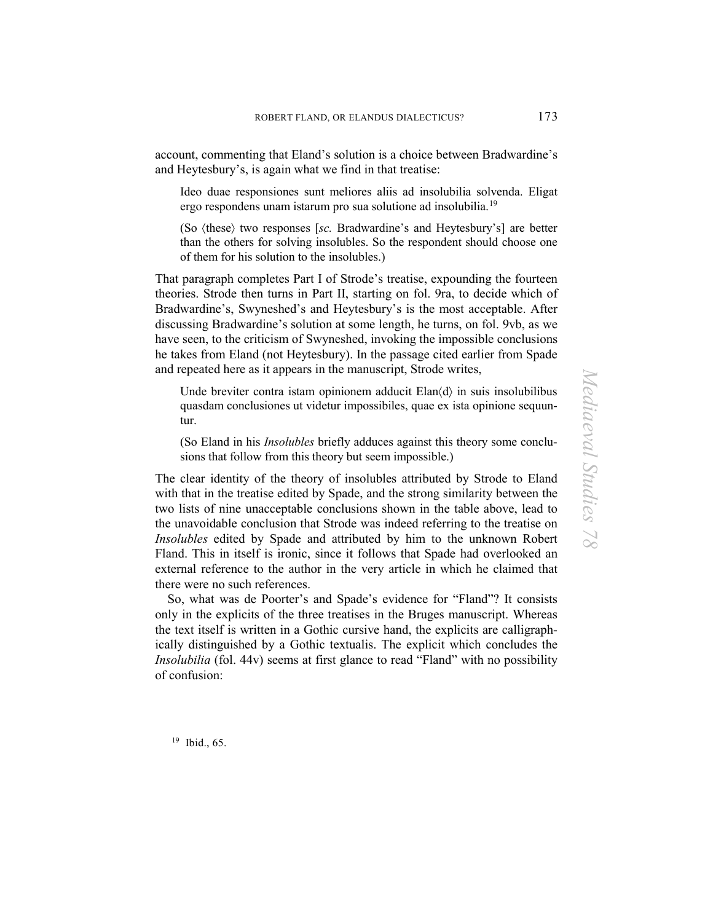account, commenting that Eland's solution is a choice between Bradwardine's and Heytesbury's, is again what we find in that treatise:

Ideo duae responsiones sunt meliores aliis ad insolubilia solvenda. Eligat ergo respondens unam istarum pro sua solutione ad insolubilia.<sup>[19](#page-6-0)</sup>

(So 〈these〉 two responses [*sc.* Bradwardine's and Heytesbury's] are better than the others for solving insolubles. So the respondent should choose one of them for his solution to the insolubles.)

That paragraph completes Part I of Strode's treatise, expounding the fourteen theories. Strode then turns in Part II, starting on fol. 9ra, to decide which of Bradwardine's, Swyneshed's and Heytesbury's is the most acceptable. After discussing Bradwardine's solution at some length, he turns, on fol. 9vb, as we have seen, to the criticism of Swyneshed, invoking the impossible conclusions he takes from Eland (not Heytesbury). In the passage cited earlier from Spade and repeated here as it appears in the manuscript, Strode writes,

Unde breviter contra istam opinionem adducit Elan〈d〉 in suis insolubilibus quasdam conclusiones ut videtur impossibiles, quae ex ista opinione sequuntur.

(So Eland in his *Insolubles* briefly adduces against this theory some conclusions that follow from this theory but seem impossible.)

The clear identity of the theory of insolubles attributed by Strode to Eland with that in the treatise edited by Spade, and the strong similarity between the two lists of nine unacceptable conclusions shown in the table above, lead to the unavoidable conclusion that Strode was indeed referring to the treatise on *Insolubles* edited by Spade and attributed by him to the unknown Robert Fland. This in itself is ironic, since it follows that Spade had overlooked an external reference to the author in the very article in which he claimed that there were no such references.

So, what was de Poorter's and Spade's evidence for "Fland"? It consists only in the explicits of the three treatises in the Bruges manuscript. Whereas the text itself is written in a Gothic cursive hand, the explicits are calligraphically distinguished by a Gothic textualis. The explicit which concludes the *Insolubilia* (fol. 44v) seems at first glance to read "Fland" with no possibility of confusion:

<span id="page-6-0"></span>19 Ibid., 65.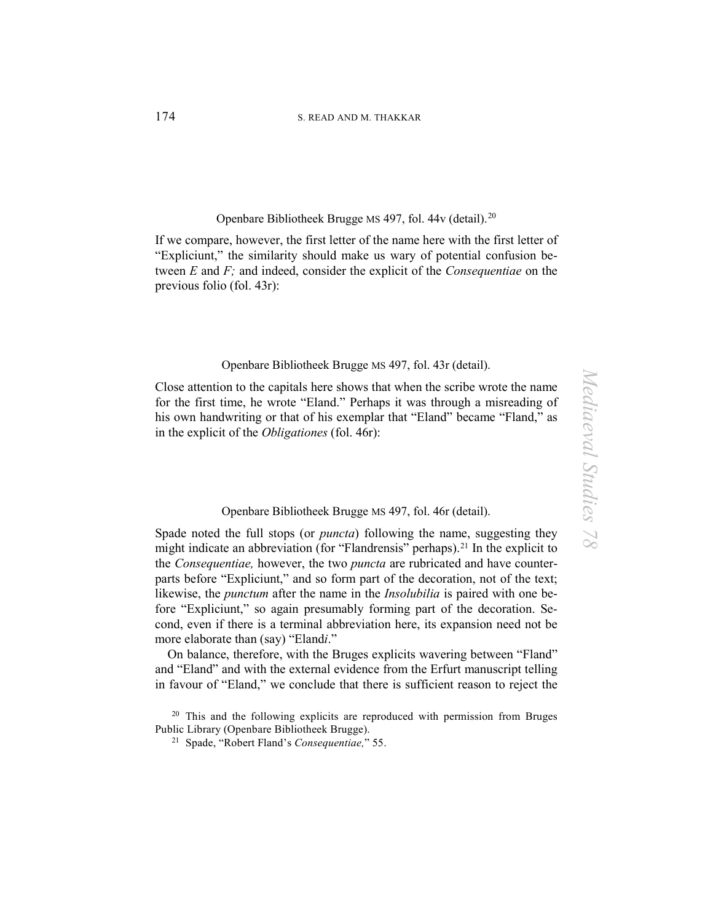# Openbare Bibliotheek Brugge MS 497, fol. 44v (detail).[20](#page-7-0)

If we compare, however, the first letter of the name here with the first letter of "Expliciunt," the similarity should make us wary of potential confusion between *E* and *F;* and indeed, consider the explicit of the *Consequentiae* on the previous folio (fol. 43r):

## Openbare Bibliotheek Brugge MS 497, fol. 43r (detail).

Close attention to the capitals here shows that when the scribe wrote the name for the first time, he wrote "Eland." Perhaps it was through a misreading of his own handwriting or that of his exemplar that "Eland" became "Fland," as in the explicit of the *Obligationes* (fol. 46r):

## Openbare Bibliotheek Brugge MS 497, fol. 46r (detail).

Spade noted the full stops (or *puncta*) following the name, suggesting they might indicate an abbreviation (for "Flandrensis" perhaps).<sup>[21](#page-7-1)</sup> In the explicit to the *Consequentiae,* however, the two *puncta* are rubricated and have counterparts before "Expliciunt," and so form part of the decoration, not of the text; likewise, the *punctum* after the name in the *Insolubilia* is paired with one before "Expliciunt," so again presumably forming part of the decoration. Second, even if there is a terminal abbreviation here, its expansion need not be more elaborate than (say) "Eland*i*."

On balance, therefore, with the Bruges explicits wavering between "Fland" and "Eland" and with the external evidence from the Erfurt manuscript telling in favour of "Eland," we conclude that there is sufficient reason to reject the

<span id="page-7-1"></span><span id="page-7-0"></span> $20$  This and the following explicits are reproduced with permission from Bruges Public Library (Openbare Bibliotheek Brugge).

21 Spade, "Robert Fland's *Consequentiae,*" 55.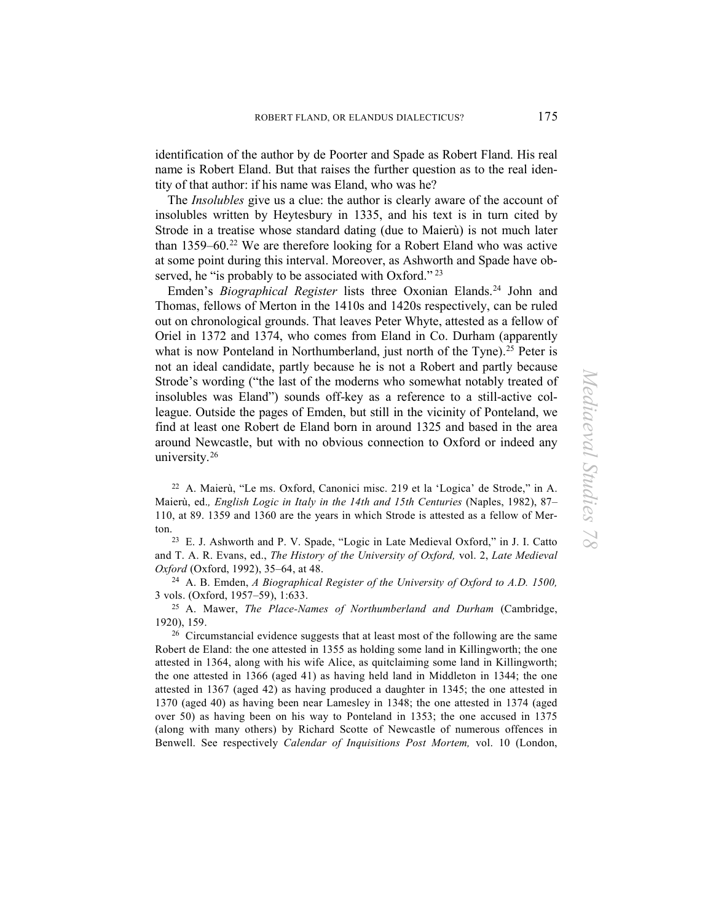identification of the author by de Poorter and Spade as Robert Fland. His real name is Robert Eland. But that raises the further question as to the real identity of that author: if his name was Eland, who was he?

The *Insolubles* give us a clue: the author is clearly aware of the account of insolubles written by Heytesbury in 1335, and his text is in turn cited by Strode in a treatise whose standard dating (due to Maierù) is not much later than 1359–60.[22](#page-8-0) We are therefore looking for a Robert Eland who was active at some point during this interval. Moreover, as Ashworth and Spade have ob-served, he "is probably to be associated with Oxford."<sup>[23](#page-8-1)</sup>

Emden's *Biographical Register* lists three Oxonian Elands.<sup>24</sup> John and Thomas, fellows of Merton in the 1410s and 1420s respectively, can be ruled out on chronological grounds. That leaves Peter Whyte, attested as a fellow of Oriel in 1372 and 1374, who comes from Eland in Co. Durham (apparently what is now Ponteland in Northumberland, just north of the Tyne).<sup>[25](#page-8-3)</sup> Peter is not an ideal candidate, partly because he is not a Robert and partly because Strode's wording ("the last of the moderns who somewhat notably treated of insolubles was Eland") sounds off-key as a reference to a still-active colleague. Outside the pages of Emden, but still in the vicinity of Ponteland, we find at least one Robert de Eland born in around 1325 and based in the area around Newcastle, but with no obvious connection to Oxford or indeed any university[.26](#page-8-4)

<span id="page-8-0"></span>22 A. Maierù, "Le ms. Oxford, Canonici misc. 219 et la 'Logica' de Strode," in A. Maierù, ed.*, English Logic in Italy in the 14th and 15th Centuries* (Naples, 1982), 87– 110, at 89. 1359 and 1360 are the years in which Strode is attested as a fellow of Mer-

<span id="page-8-1"></span>ton.23 E. J. Ashworth and P. V. Spade, "Logic in Late Medieval Oxford," in J. I. Catto and T. A. R. Evans, ed., *The History of the University of Oxford,* vol. 2, *Late Medieval Oxford* (Oxford, 1992), 35–64, at 48.

<span id="page-8-2"></span>24 A. B. Emden, *A Biographical Register of the University of Oxford to A.D. 1500,* 3 vols. (Oxford, 1957–59), 1:633.

<span id="page-8-3"></span>25 A. Mawer, *The Place-Names of Northumberland and Durham* (Cambridge, 1920), 159.

<span id="page-8-4"></span><sup>26</sup> Circumstancial evidence suggests that at least most of the following are the same Robert de Eland: the one attested in 1355 as holding some land in Killingworth; the one attested in 1364, along with his wife Alice, as quitclaiming some land in Killingworth; the one attested in 1366 (aged 41) as having held land in Middleton in 1344; the one attested in 1367 (aged 42) as having produced a daughter in 1345; the one attested in 1370 (aged 40) as having been near Lamesley in 1348; the one attested in 1374 (aged over 50) as having been on his way to Ponteland in 1353; the one accused in 1375 (along with many others) by Richard Scotte of Newcastle of numerous offences in Benwell. See respectively *Calendar of Inquisitions Post Mortem,* vol. 10 (London,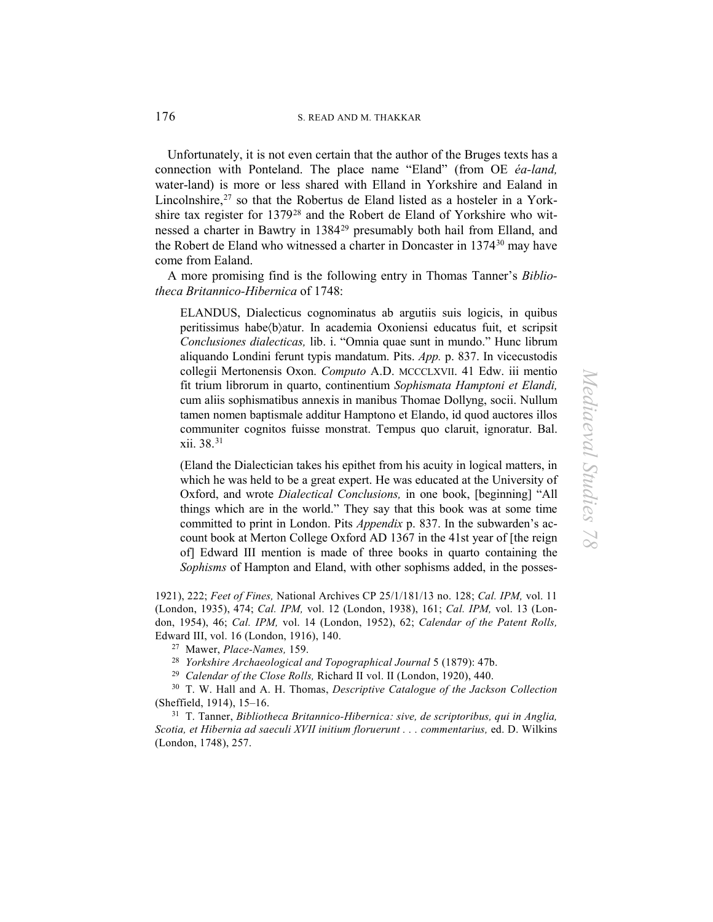Unfortunately, it is not even certain that the author of the Bruges texts has a connection with Ponteland. The place name "Eland" (from OE *éa-land,* water-land) is more or less shared with Elland in Yorkshire and Ealand in Lincolnshire,<sup>[27](#page-9-0)</sup> so that the Robertus de Eland listed as a hosteler in a Yorkshire tax register for 1379[28](#page-9-1) and the Robert de Eland of Yorkshire who witnessed a charter in Bawtry in 1384[29](#page-9-2) presumably both hail from Elland, and the Robert de Eland who witnessed a charter in Doncaster in 1374<sup>[30](#page-9-3)</sup> may have come from Ealand.

A more promising find is the following entry in Thomas Tanner's *Bibliotheca Britannico-Hibernica* of 1748:

ELANDUS, Dialecticus cognominatus ab argutiis suis logicis, in quibus peritissimus habe〈b〉atur. In academia Oxoniensi educatus fuit, et scripsit *Conclusiones dialecticas,* lib. i. "Omnia quae sunt in mundo." Hunc librum aliquando Londini ferunt typis mandatum. Pits. *App.* p. 837. In vicecustodis collegii Mertonensis Oxon. *Computo* A.D. MCCCLXVII. 41 Edw. iii mentio fit trium librorum in quarto, continentium *Sophismata Hamptoni et Elandi,*  cum aliis sophismatibus annexis in manibus Thomae Dollyng, socii. Nullum tamen nomen baptismale additur Hamptono et Elando, id quod auctores illos communiter cognitos fuisse monstrat. Tempus quo claruit, ignoratur. Bal. xii. 38.[31](#page-9-4)

(Eland the Dialectician takes his epithet from his acuity in logical matters, in which he was held to be a great expert. He was educated at the University of Oxford, and wrote *Dialectical Conclusions,* in one book, [beginning] "All things which are in the world." They say that this book was at some time committed to print in London. Pits *Appendix* p. 837. In the subwarden's account book at Merton College Oxford AD 1367 in the 41st year of [the reign of] Edward III mention is made of three books in quarto containing the *Sophisms* of Hampton and Eland, with other sophisms added, in the posses-

1921), 222; *Feet of Fines,* National Archives CP 25/1/181/13 no. 128; *Cal. IPM,* vol. 11 (London, 1935), 474; *Cal. IPM,* vol. 12 (London, 1938), 161; *Cal. IPM,* vol. 13 (London, 1954), 46; *Cal. IPM,* vol. 14 (London, 1952), 62; *Calendar of the Patent Rolls,* Edward III, vol. 16 (London, 1916), 140.

- 
- 
- 

<span id="page-9-2"></span><span id="page-9-1"></span><span id="page-9-0"></span><sup>27</sup> Mawer, *Place-Names*, 159.<br><sup>28</sup> *Yorkshire Archaeological and Topographical Journal* 5 (1879): 47b.<br><sup>29</sup> *Calendar of the Close Rolls*, Richard II vol. II (London, 1920), 440.<br><sup>30</sup> T. W. Hall and A. H. Thomas, *Descri* (Sheffield, 1914), 15–16.

<span id="page-9-4"></span><span id="page-9-3"></span>31 T. Tanner, *Bibliotheca Britannico-Hibernica: sive, de scriptoribus, qui in Anglia, Scotia, et Hibernia ad saeculi XVII initium floruerunt . . . commentarius,* ed. D. Wilkins (London, 1748), 257.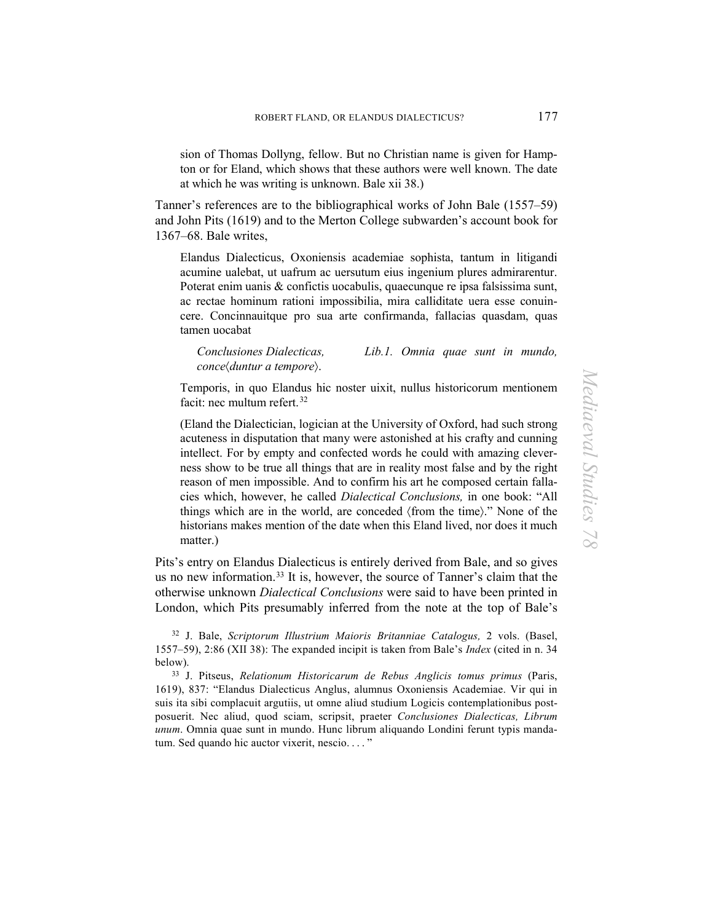sion of Thomas Dollyng, fellow. But no Christian name is given for Hampton or for Eland, which shows that these authors were well known. The date at which he was writing is unknown. Bale xii 38.)

Tanner's references are to the bibliographical works of John Bale (1557–59) and John Pits (1619) and to the Merton College subwarden's account book for 1367–68. Bale writes,

Elandus Dialecticus, Oxoniensis academiae sophista, tantum in litigandi acumine ualebat, ut uafrum ac uersutum eius ingenium plures admirarentur. Poterat enim uanis & confictis uocabulis, quaecunque re ipsa falsissima sunt, ac rectae hominum rationi impossibilia, mira calliditate uera esse conuincere. Concinnauitque pro sua arte confirmanda, fallacias quasdam, quas tamen uocabat

*Conclusiones Dialecticas, Lib.1. Omnia quae sunt in mundo, conce*〈*duntur a tempore*〉.

Temporis, in quo Elandus hic noster uixit, nullus historicorum mentionem facit: nec multum refert.<sup>[32](#page-10-0)</sup>

(Eland the Dialectician, logician at the University of Oxford, had such strong acuteness in disputation that many were astonished at his crafty and cunning intellect. For by empty and confected words he could with amazing cleverness show to be true all things that are in reality most false and by the right reason of men impossible. And to confirm his art he composed certain fallacies which, however, he called *Dialectical Conclusions,* in one book: "All things which are in the world, are conceded 〈from the time〉." None of the historians makes mention of the date when this Eland lived, nor does it much matter.)

Pits's entry on Elandus Dialecticus is entirely derived from Bale, and so gives us no new information.[33](#page-10-1) It is, however, the source of Tanner's claim that the otherwise unknown *Dialectical Conclusions* were said to have been printed in London, which Pits presumably inferred from the note at the top of Bale's

<span id="page-10-0"></span>32 J. Bale, *Scriptorum Illustrium Maioris Britanniae Catalogus,* 2 vols. (Basel, 1557–59), 2:86 (XII 38): The expanded incipit is taken from Bale's *Index* (cited in n. 34 below).

<span id="page-10-1"></span>33 J. Pitseus, *Relationum Historicarum de Rebus Anglicis tomus primus* (Paris, 1619), 837: "Elandus Dialecticus Anglus, alumnus Oxoniensis Academiae. Vir qui in suis ita sibi complacuit argutiis, ut omne aliud studium Logicis contemplationibus postposuerit. Nec aliud, quod sciam, scripsit, praeter *Conclusiones Dialecticas, Librum unum*. Omnia quae sunt in mundo. Hunc librum aliquando Londini ferunt typis mandatum. Sed quando hic auctor vixerit, nescio. . . . "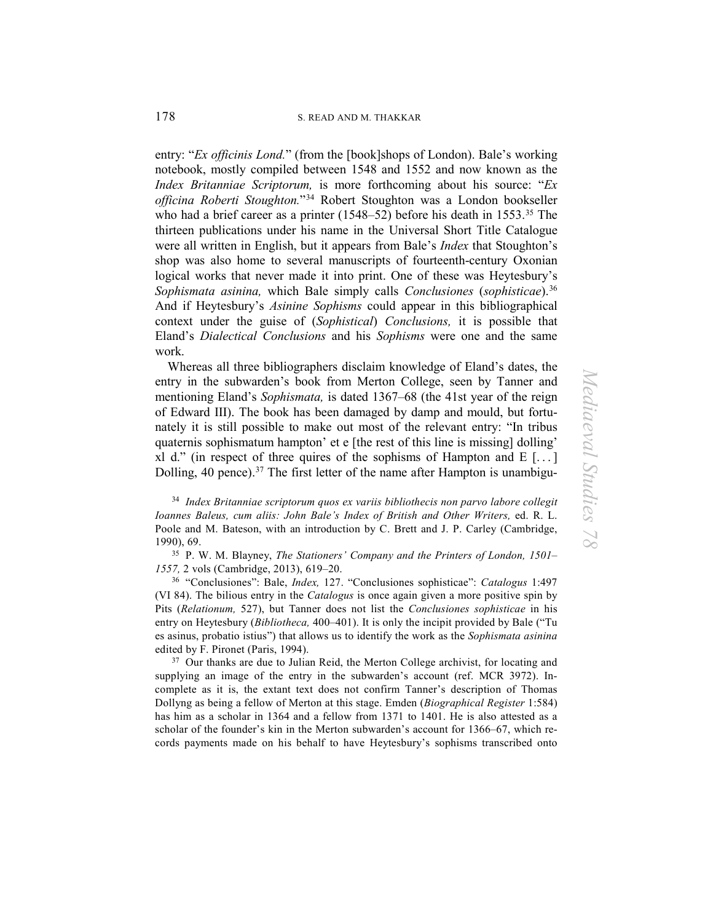entry: "*Ex officinis Lond.*" (from the [book]shops of London). Bale's working notebook, mostly compiled between 1548 and 1552 and now known as the *Index Britanniae Scriptorum,* is more forthcoming about his source: "*Ex officina Roberti Stoughton.*"[34](#page-11-0) Robert Stoughton was a London bookseller who had a brief career as a printer (1548–52) before his death in 1553.<sup>35</sup> The thirteen publications under his name in the Universal Short Title Catalogue were all written in English, but it appears from Bale's *Index* that Stoughton's shop was also home to several manuscripts of fourteenth-century Oxonian logical works that never made it into print. One of these was Heytesbury's *Sophismata asinina,* which Bale simply calls *Conclusiones* (*sophisticae*).[36](#page-11-2) And if Heytesbury's *Asinine Sophisms* could appear in this bibliographical context under the guise of (*Sophistical*) *Conclusions,* it is possible that Eland's *Dialectical Conclusions* and his *Sophisms* were one and the same work.

Whereas all three bibliographers disclaim knowledge of Eland's dates, the entry in the subwarden's book from Merton College, seen by Tanner and mentioning Eland's *Sophismata,* is dated 1367–68 (the 41st year of the reign of Edward III). The book has been damaged by damp and mould, but fortunately it is still possible to make out most of the relevant entry: "In tribus quaternis sophismatum hampton' et e [the rest of this line is missing] dolling' xl d." (in respect of three quires of the sophisms of Hampton and  $E$  [...] Dolling, 40 pence).<sup>[37](#page-11-3)</sup> The first letter of the name after Hampton is unambigu-

<span id="page-11-0"></span>34 *Index Britanniae scriptorum quos ex variis bibliothecis non parvo labore collegit Ioannes Baleus, cum aliis: John Bale's Index of British and Other Writers,* ed. R. L. Poole and M. Bateson, with an introduction by C. Brett and J. P. Carley (Cambridge, 1990), 69. 35 P. W. M. Blayney, *The Stationers' Company and the Printers of London, 1501–*

<span id="page-11-1"></span>*1557,* 2 vols (Cambridge, 2013), 619–20.

<span id="page-11-2"></span>36 "Conclusiones": Bale, *Index,* 127. "Conclusiones sophisticae": *Catalogus* 1:497 (VI 84). The bilious entry in the *Catalogus* is once again given a more positive spin by Pits (*Relationum,* 527), but Tanner does not list the *Conclusiones sophisticae* in his entry on Heytesbury (*Bibliotheca,* 400–401). It is only the incipit provided by Bale ("Tu es asinus, probatio istius") that allows us to identify the work as the *Sophismata asinina* edited by F. Pironet (Paris, 1994).

<span id="page-11-3"></span><sup>37</sup> Our thanks are due to Julian Reid, the Merton College archivist, for locating and supplying an image of the entry in the subwarden's account (ref. MCR 3972). Incomplete as it is, the extant text does not confirm Tanner's description of Thomas Dollyng as being a fellow of Merton at this stage. Emden (*Biographical Register* 1:584) has him as a scholar in 1364 and a fellow from 1371 to 1401. He is also attested as a scholar of the founder's kin in the Merton subwarden's account for 1366–67, which records payments made on his behalf to have Heytesbury's sophisms transcribed onto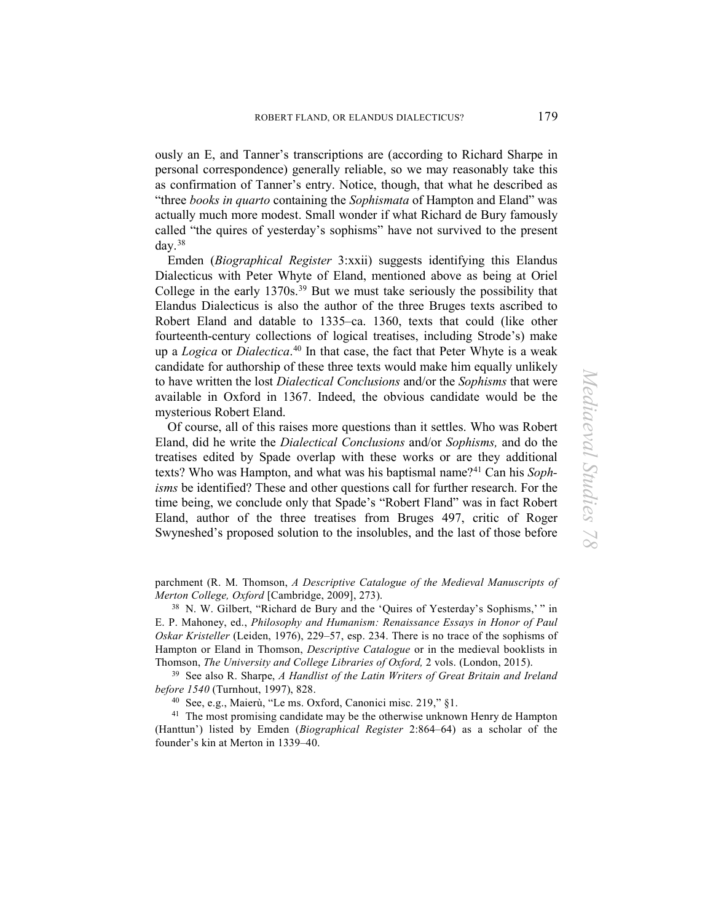ously an E, and Tanner's transcriptions are (according to Richard Sharpe in personal correspondence) generally reliable, so we may reasonably take this as confirmation of Tanner's entry. Notice, though, that what he described as "three *books in quarto* containing the *Sophismata* of Hampton and Eland" was actually much more modest. Small wonder if what Richard de Bury famously called "the quires of yesterday's sophisms" have not survived to the present day.[38](#page-12-0)

Emden (*Biographical Register* 3:xxii) suggests identifying this Elandus Dialecticus with Peter Whyte of Eland, mentioned above as being at Oriel College in the early 1370s.<sup>[39](#page-12-1)</sup> But we must take seriously the possibility that Elandus Dialecticus is also the author of the three Bruges texts ascribed to Robert Eland and datable to 1335–ca. 1360, texts that could (like other fourteenth-century collections of logical treatises, including Strode's) make up a *Logica* or *Dialectica*. [40](#page-12-2) In that case, the fact that Peter Whyte is a weak candidate for authorship of these three texts would make him equally unlikely to have written the lost *Dialectical Conclusions* and/or the *Sophisms* that were available in Oxford in 1367. Indeed, the obvious candidate would be the mysterious Robert Eland.

Of course, all of this raises more questions than it settles. Who was Robert Eland, did he write the *Dialectical Conclusions* and/or *Sophisms,* and do the treatises edited by Spade overlap with these works or are they additional texts? Who was Hampton, and what was his baptismal name?[41](#page-12-3) Can his *Sophisms* be identified? These and other questions call for further research. For the time being, we conclude only that Spade's "Robert Fland" was in fact Robert Eland, author of the three treatises from Bruges 497, critic of Roger Swyneshed's proposed solution to the insolubles, and the last of those before

parchment (R. M. Thomson, *A Descriptive Catalogue of the Medieval Manuscripts of Merton College, Oxford* [Cambridge, 2009], 273).<br><sup>38</sup> N. W. Gilbert, "Richard de Bury and the 'Quires of Yesterday's Sophisms,' " in

<span id="page-12-0"></span>E. P. Mahoney, ed., *Philosophy and Humanism: Renaissance Essays in Honor of Paul Oskar Kristeller* (Leiden, 1976), 229–57, esp. 234. There is no trace of the sophisms of Hampton or Eland in Thomson, *Descriptive Catalogue* or in the medieval booklists in Thomson, *The University and College Libraries of Oxford,* 2 vols. (London, 2015).

<span id="page-12-1"></span>39 See also R. Sharpe, *A Handlist of the Latin Writers of Great Britain and Ireland before 1540* (Turnhout, 1997), 828.

<span id="page-12-3"></span><span id="page-12-2"></span><sup>40</sup> See, e.g., Maierù, "Le ms. Oxford, Canonici misc. 219,"  $\S1$ .<br><sup>41</sup> The most promising candidate may be the otherwise unknown Henry de Hampton (Hanttun') listed by Emden (*Biographical Register* 2:864–64) as a scholar of the founder's kin at Merton in 1339–40.